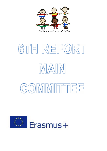

## 6TH REPORT IMAIN COMMITTEE

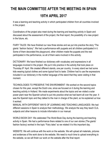## **THE MAIN COMMITTEE AFTER THE MEETING IN SPAIN 19TH APRIL 2017**

It was a learning and teaching activity in which participated children from all countries involved in the project.

Coordinators of the project also meet during the learning and teaching activity in Spain and discussed about the assessment of the project, the final report, the possibility of a new project in the future, etc.

FAIRY TALES: We have finished our new three stories and we put into practice the story "The giants´ fashion factory". We had a performance with puppets and all children participated in it. Some of them decorated the playground, other children made the puppets and the rest participated in the performance, so all of them were involved in this activity.

DICTIONARY: We have finished our dictionary with vocabulary and expressions in all languages involved in the project. We put it into practice in the activity that took place on Thursday 6<sup>th</sup> April. We created different stands, one per country. In every stand we had some kids wearing typical clothes and some typical food to taste. Children had to use the expressions included in our dictionary in the mother language of the stand that they were visiting in that moment.

TECHNOLOGIES TO PRESERVE THE ENVIRONMENT: We worked on the second topics chosen for this year, except the Dutch one, since we focused on it during the learning and teaching activity in Holland. We made experiments about the topics and we visited a solar power plant near the Spanish school to put into practice what we had learnt all over the year. It was the Spanish topic and they talked to the man in charge of the plant, so he explained us how it worked.

MANUAL WITH DIFFERENT WAYS OF LEARNING AND TEACHING LANGUAGES: We had different sessions in Spain to analyze their methodology. We analyze the way they teach CLIL subjects and other lessons to include information in our manual.

WORLD BOOK DAY: We celebrated The World Book Day during the learning and teaching activity in Spain. We had a performance there related to one of our own stories (The giants' fashion factory) worked in the topic "Fairy tales" so we related it to this important day.

WEBSITE: We will continue with the work on the website. We will upload all materials, pictures and evidences of the work done to the website. We need to much time to upload everything to the website, so we will finish our work on the website after the final report.